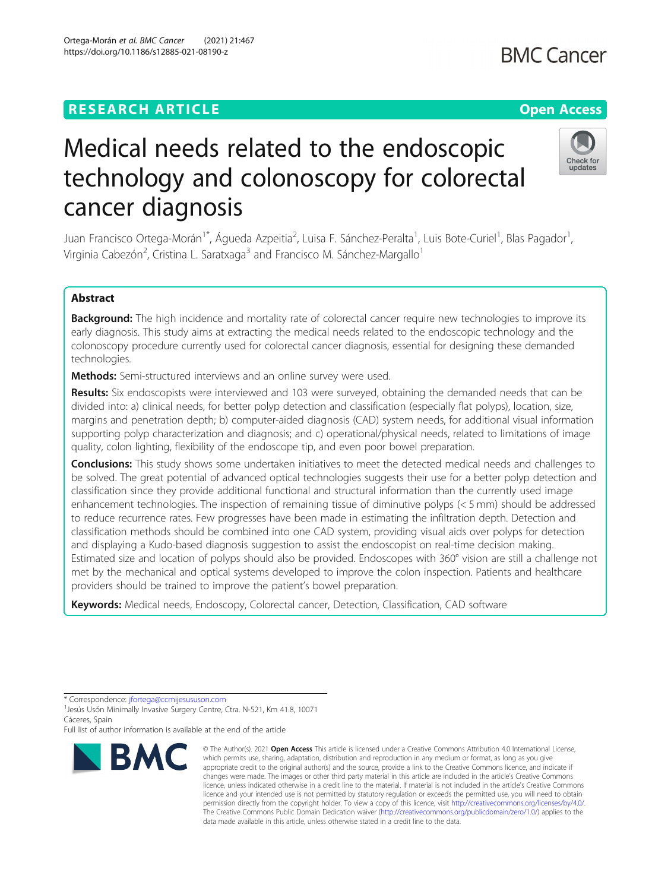## **RESEARCH ARTICLE Example 2014 12:30 The Contract of Contract ACCESS**

# Medical needs related to the endoscopic technology and colonoscopy for colorectal cancer diagnosis

Juan Francisco Ortega-Morán<sup>1\*</sup>, Águeda Azpeitia<sup>2</sup>, Luisa F. Sánchez-Peralta<sup>1</sup>, Luis Bote-Curiel<sup>1</sup>, Blas Pagador<sup>1</sup> , Virginia Cabezón<sup>2</sup>, Cristina L. Saratxaga<sup>3</sup> and Francisco M. Sánchez-Margallo<sup>1</sup>

## Abstract

Background: The high incidence and mortality rate of colorectal cancer require new technologies to improve its early diagnosis. This study aims at extracting the medical needs related to the endoscopic technology and the colonoscopy procedure currently used for colorectal cancer diagnosis, essential for designing these demanded technologies.

Methods: Semi-structured interviews and an online survey were used.

Results: Six endoscopists were interviewed and 103 were surveyed, obtaining the demanded needs that can be divided into: a) clinical needs, for better polyp detection and classification (especially flat polyps), location, size, margins and penetration depth; b) computer-aided diagnosis (CAD) system needs, for additional visual information supporting polyp characterization and diagnosis; and c) operational/physical needs, related to limitations of image quality, colon lighting, flexibility of the endoscope tip, and even poor bowel preparation.

**Conclusions:** This study shows some undertaken initiatives to meet the detected medical needs and challenges to be solved. The great potential of advanced optical technologies suggests their use for a better polyp detection and classification since they provide additional functional and structural information than the currently used image enhancement technologies. The inspection of remaining tissue of diminutive polyps (< 5 mm) should be addressed to reduce recurrence rates. Few progresses have been made in estimating the infiltration depth. Detection and classification methods should be combined into one CAD system, providing visual aids over polyps for detection and displaying a Kudo-based diagnosis suggestion to assist the endoscopist on real-time decision making. Estimated size and location of polyps should also be provided. Endoscopes with 360° vision are still a challenge not met by the mechanical and optical systems developed to improve the colon inspection. Patients and healthcare providers should be trained to improve the patient's bowel preparation.

Keywords: Medical needs, Endoscopy, Colorectal cancer, Detection, Classification, CAD software



<sup>©</sup> The Author(s), 2021 **Open Access** This article is licensed under a Creative Commons Attribution 4.0 International License, which permits use, sharing, adaptation, distribution and reproduction in any medium or format, as long as you give appropriate credit to the original author(s) and the source, provide a link to the Creative Commons licence, and indicate if changes were made. The images or other third party material in this article are included in the article's Creative Commons licence, unless indicated otherwise in a credit line to the material. If material is not included in the article's Creative Commons licence and your intended use is not permitted by statutory regulation or exceeds the permitted use, you will need to obtain permission directly from the copyright holder. To view a copy of this licence, visit [http://creativecommons.org/licenses/by/4.0/.](http://creativecommons.org/licenses/by/4.0/) The Creative Commons Public Domain Dedication waiver [\(http://creativecommons.org/publicdomain/zero/1.0/](http://creativecommons.org/publicdomain/zero/1.0/)) applies to the data made available in this article, unless otherwise stated in a credit line to the data.



<sup>\*</sup> Correspondence: [jfortega@ccmijesususon.com](mailto:jfortega@ccmijesususon.com) <sup>1</sup>

<sup>&</sup>lt;sup>1</sup> Jesús Usón Minimally Invasive Surgery Centre, Ctra. N-521, Km 41.8, 10071 Cáceres, Spain

Full list of author information is available at the end of the article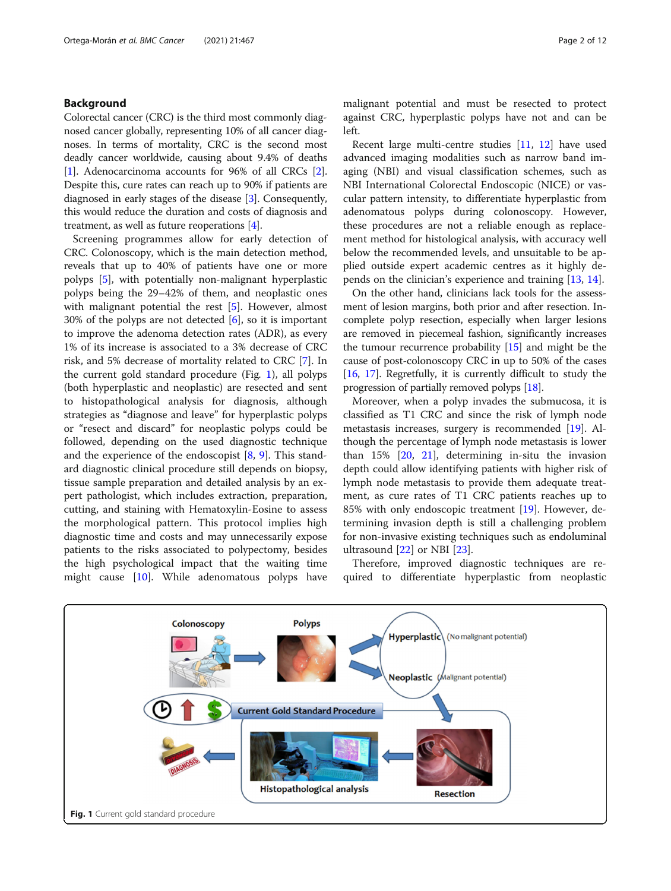## Background

Colorectal cancer (CRC) is the third most commonly diagnosed cancer globally, representing 10% of all cancer diagnoses. In terms of mortality, CRC is the second most deadly cancer worldwide, causing about 9.4% of deaths [[1\]](#page-9-0). Adenocarcinoma accounts for 96% of all CRCs [[2](#page-9-0)]. Despite this, cure rates can reach up to 90% if patients are diagnosed in early stages of the disease [[3](#page-9-0)]. Consequently, this would reduce the duration and costs of diagnosis and treatment, as well as future reoperations [\[4\]](#page-9-0).

Screening programmes allow for early detection of CRC. Colonoscopy, which is the main detection method, reveals that up to 40% of patients have one or more polyps [[5\]](#page-9-0), with potentially non-malignant hyperplastic polyps being the 29–42% of them, and neoplastic ones with malignant potential the rest [\[5](#page-9-0)]. However, almost 30% of the polyps are not detected [\[6\]](#page-9-0), so it is important to improve the adenoma detection rates (ADR), as every 1% of its increase is associated to a 3% decrease of CRC risk, and 5% decrease of mortality related to CRC [\[7](#page-9-0)]. In the current gold standard procedure (Fig. 1), all polyps (both hyperplastic and neoplastic) are resected and sent to histopathological analysis for diagnosis, although strategies as "diagnose and leave" for hyperplastic polyps or "resect and discard" for neoplastic polyps could be followed, depending on the used diagnostic technique and the experience of the endoscopist [[8,](#page-9-0) [9\]](#page-9-0). This standard diagnostic clinical procedure still depends on biopsy, tissue sample preparation and detailed analysis by an expert pathologist, which includes extraction, preparation, cutting, and staining with Hematoxylin-Eosine to assess the morphological pattern. This protocol implies high diagnostic time and costs and may unnecessarily expose patients to the risks associated to polypectomy, besides the high psychological impact that the waiting time might cause [\[10\]](#page-9-0). While adenomatous polyps have

malignant potential and must be resected to protect against CRC, hyperplastic polyps have not and can be left.

Recent large multi-centre studies [[11,](#page-9-0) [12](#page-9-0)] have used advanced imaging modalities such as narrow band imaging (NBI) and visual classification schemes, such as NBI International Colorectal Endoscopic (NICE) or vascular pattern intensity, to differentiate hyperplastic from adenomatous polyps during colonoscopy. However, these procedures are not a reliable enough as replacement method for histological analysis, with accuracy well below the recommended levels, and unsuitable to be applied outside expert academic centres as it highly depends on the clinician's experience and training [\[13](#page-9-0), [14](#page-9-0)].

On the other hand, clinicians lack tools for the assessment of lesion margins, both prior and after resection. Incomplete polyp resection, especially when larger lesions are removed in piecemeal fashion, significantly increases the tumour recurrence probability  $[15]$  and might be the cause of post-colonoscopy CRC in up to 50% of the cases [[16](#page-9-0), [17](#page-10-0)]. Regretfully, it is currently difficult to study the progression of partially removed polyps [\[18\]](#page-10-0).

Moreover, when a polyp invades the submucosa, it is classified as T1 CRC and since the risk of lymph node metastasis increases, surgery is recommended [[19\]](#page-10-0). Although the percentage of lymph node metastasis is lower than 15% [[20,](#page-10-0) [21](#page-10-0)], determining in-situ the invasion depth could allow identifying patients with higher risk of lymph node metastasis to provide them adequate treatment, as cure rates of T1 CRC patients reaches up to 85% with only endoscopic treatment [\[19\]](#page-10-0). However, determining invasion depth is still a challenging problem for non-invasive existing techniques such as endoluminal ultrasound [[22\]](#page-10-0) or NBI [\[23\]](#page-10-0).

Therefore, improved diagnostic techniques are required to differentiate hyperplastic from neoplastic

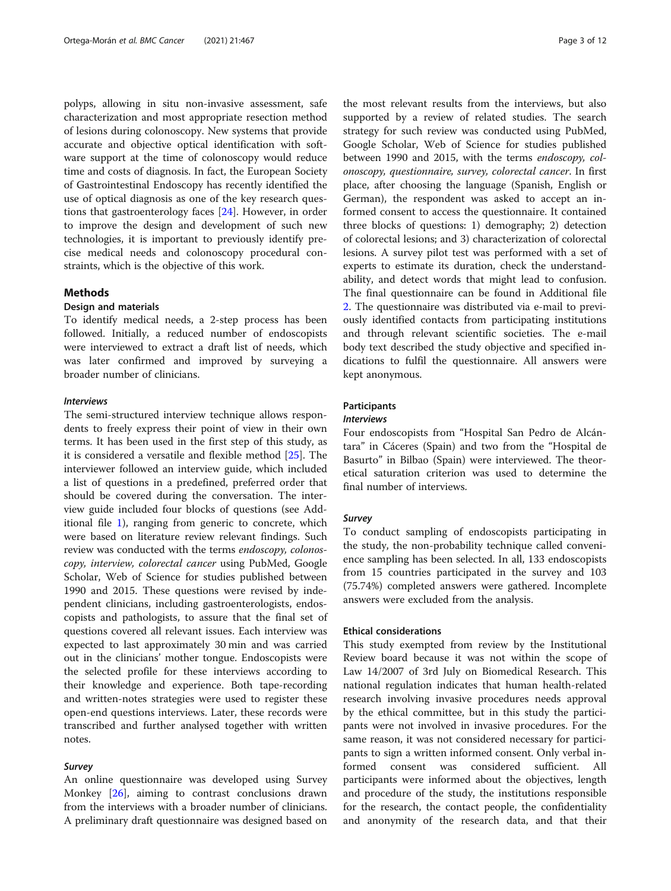polyps, allowing in situ non-invasive assessment, safe characterization and most appropriate resection method of lesions during colonoscopy. New systems that provide accurate and objective optical identification with software support at the time of colonoscopy would reduce time and costs of diagnosis. In fact, the European Society of Gastrointestinal Endoscopy has recently identified the use of optical diagnosis as one of the key research questions that gastroenterology faces [[24\]](#page-10-0). However, in order to improve the design and development of such new technologies, it is important to previously identify precise medical needs and colonoscopy procedural constraints, which is the objective of this work.

## Methods

## Design and materials

To identify medical needs, a 2-step process has been followed. Initially, a reduced number of endoscopists were interviewed to extract a draft list of needs, which was later confirmed and improved by surveying a broader number of clinicians.

## Interviews

The semi-structured interview technique allows respondents to freely express their point of view in their own terms. It has been used in the first step of this study, as it is considered a versatile and flexible method [[25\]](#page-10-0). The interviewer followed an interview guide, which included a list of questions in a predefined, preferred order that should be covered during the conversation. The interview guide included four blocks of questions (see Additional file [1\)](#page-8-0), ranging from generic to concrete, which were based on literature review relevant findings. Such review was conducted with the terms endoscopy, colonoscopy, interview, colorectal cancer using PubMed, Google Scholar, Web of Science for studies published between 1990 and 2015. These questions were revised by independent clinicians, including gastroenterologists, endoscopists and pathologists, to assure that the final set of questions covered all relevant issues. Each interview was expected to last approximately 30 min and was carried out in the clinicians' mother tongue. Endoscopists were the selected profile for these interviews according to their knowledge and experience. Both tape-recording and written-notes strategies were used to register these open-end questions interviews. Later, these records were transcribed and further analysed together with written notes.

## Survey

An online questionnaire was developed using Survey Monkey [[26\]](#page-10-0), aiming to contrast conclusions drawn from the interviews with a broader number of clinicians. A preliminary draft questionnaire was designed based on

the most relevant results from the interviews, but also supported by a review of related studies. The search strategy for such review was conducted using PubMed, Google Scholar, Web of Science for studies published between 1990 and 2015, with the terms endoscopy, colonoscopy, questionnaire, survey, colorectal cancer. In first place, after choosing the language (Spanish, English or German), the respondent was asked to accept an informed consent to access the questionnaire. It contained three blocks of questions: 1) demography; 2) detection of colorectal lesions; and 3) characterization of colorectal lesions. A survey pilot test was performed with a set of experts to estimate its duration, check the understandability, and detect words that might lead to confusion. The final questionnaire can be found in Additional file [2.](#page-8-0) The questionnaire was distributed via e-mail to previously identified contacts from participating institutions and through relevant scientific societies. The e-mail body text described the study objective and specified indications to fulfil the questionnaire. All answers were kept anonymous.

## Participants

## Interviews

Four endoscopists from "Hospital San Pedro de Alcántara" in Cáceres (Spain) and two from the "Hospital de Basurto" in Bilbao (Spain) were interviewed. The theoretical saturation criterion was used to determine the final number of interviews.

## Survey

To conduct sampling of endoscopists participating in the study, the non-probability technique called convenience sampling has been selected. In all, 133 endoscopists from 15 countries participated in the survey and 103 (75.74%) completed answers were gathered. Incomplete answers were excluded from the analysis.

## Ethical considerations

This study exempted from review by the Institutional Review board because it was not within the scope of Law 14/2007 of 3rd July on Biomedical Research. This national regulation indicates that human health-related research involving invasive procedures needs approval by the ethical committee, but in this study the participants were not involved in invasive procedures. For the same reason, it was not considered necessary for participants to sign a written informed consent. Only verbal informed consent was considered sufficient. All participants were informed about the objectives, length and procedure of the study, the institutions responsible for the research, the contact people, the confidentiality and anonymity of the research data, and that their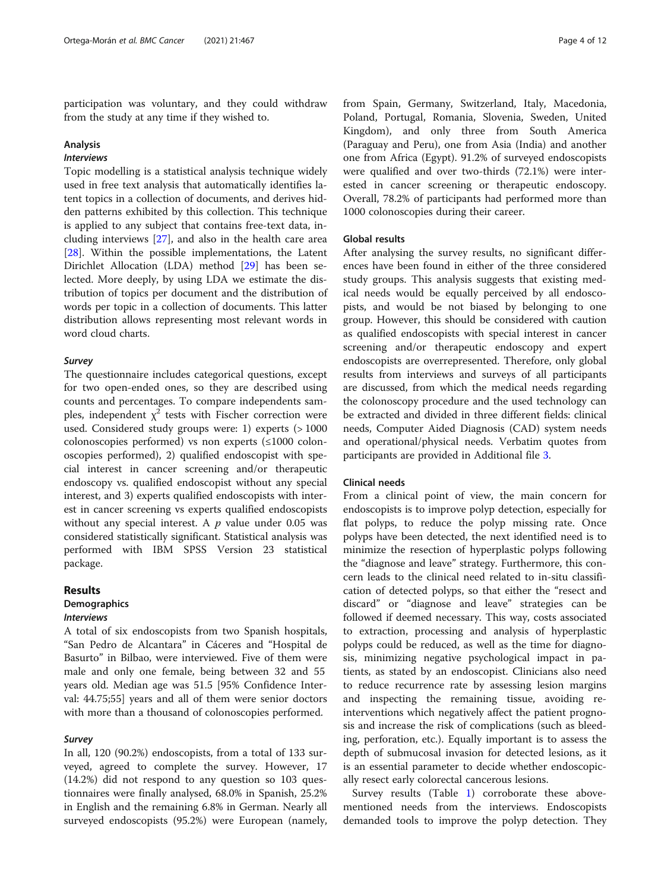participation was voluntary, and they could withdraw from the study at any time if they wished to.

## Analysis

## Interviews

Topic modelling is a statistical analysis technique widely used in free text analysis that automatically identifies latent topics in a collection of documents, and derives hidden patterns exhibited by this collection. This technique is applied to any subject that contains free-text data, including interviews [[27\]](#page-10-0), and also in the health care area [[28\]](#page-10-0). Within the possible implementations, the Latent Dirichlet Allocation (LDA) method [[29\]](#page-10-0) has been selected. More deeply, by using LDA we estimate the distribution of topics per document and the distribution of words per topic in a collection of documents. This latter distribution allows representing most relevant words in word cloud charts.

## Survey

The questionnaire includes categorical questions, except for two open-ended ones, so they are described using counts and percentages. To compare independents samples, independent  $\chi^2$  tests with Fischer correction were used. Considered study groups were: 1) experts (> 1000 colonoscopies performed) vs non experts  $(\leq 1000 \text{ colon}$ oscopies performed), 2) qualified endoscopist with special interest in cancer screening and/or therapeutic endoscopy vs. qualified endoscopist without any special interest, and 3) experts qualified endoscopists with interest in cancer screening vs experts qualified endoscopists without any special interest. A  $p$  value under 0.05 was considered statistically significant. Statistical analysis was performed with IBM SPSS Version 23 statistical package.

## Results

**Demographics** 

## Interviews

A total of six endoscopists from two Spanish hospitals, "San Pedro de Alcantara" in Cáceres and "Hospital de Basurto" in Bilbao, were interviewed. Five of them were male and only one female, being between 32 and 55 years old. Median age was 51.5 [95% Confidence Interval: 44.75;55] years and all of them were senior doctors with more than a thousand of colonoscopies performed.

## Survey

In all, 120 (90.2%) endoscopists, from a total of 133 surveyed, agreed to complete the survey. However, 17 (14.2%) did not respond to any question so 103 questionnaires were finally analysed, 68.0% in Spanish, 25.2% in English and the remaining 6.8% in German. Nearly all surveyed endoscopists (95.2%) were European (namely, from Spain, Germany, Switzerland, Italy, Macedonia, Poland, Portugal, Romania, Slovenia, Sweden, United Kingdom), and only three from South America (Paraguay and Peru), one from Asia (India) and another one from Africa (Egypt). 91.2% of surveyed endoscopists were qualified and over two-thirds (72.1%) were interested in cancer screening or therapeutic endoscopy. Overall, 78.2% of participants had performed more than 1000 colonoscopies during their career.

## Global results

After analysing the survey results, no significant differences have been found in either of the three considered study groups. This analysis suggests that existing medical needs would be equally perceived by all endoscopists, and would be not biased by belonging to one group. However, this should be considered with caution as qualified endoscopists with special interest in cancer screening and/or therapeutic endoscopy and expert endoscopists are overrepresented. Therefore, only global results from interviews and surveys of all participants are discussed, from which the medical needs regarding the colonoscopy procedure and the used technology can be extracted and divided in three different fields: clinical needs, Computer Aided Diagnosis (CAD) system needs and operational/physical needs. Verbatim quotes from participants are provided in Additional file [3](#page-8-0).

## Clinical needs

From a clinical point of view, the main concern for endoscopists is to improve polyp detection, especially for flat polyps, to reduce the polyp missing rate. Once polyps have been detected, the next identified need is to minimize the resection of hyperplastic polyps following the "diagnose and leave" strategy. Furthermore, this concern leads to the clinical need related to in-situ classification of detected polyps, so that either the "resect and discard" or "diagnose and leave" strategies can be followed if deemed necessary. This way, costs associated to extraction, processing and analysis of hyperplastic polyps could be reduced, as well as the time for diagnosis, minimizing negative psychological impact in patients, as stated by an endoscopist. Clinicians also need to reduce recurrence rate by assessing lesion margins and inspecting the remaining tissue, avoiding reinterventions which negatively affect the patient prognosis and increase the risk of complications (such as bleeding, perforation, etc.). Equally important is to assess the depth of submucosal invasion for detected lesions, as it is an essential parameter to decide whether endoscopically resect early colorectal cancerous lesions.

Survey results (Table [1\)](#page-4-0) corroborate these abovementioned needs from the interviews. Endoscopists demanded tools to improve the polyp detection. They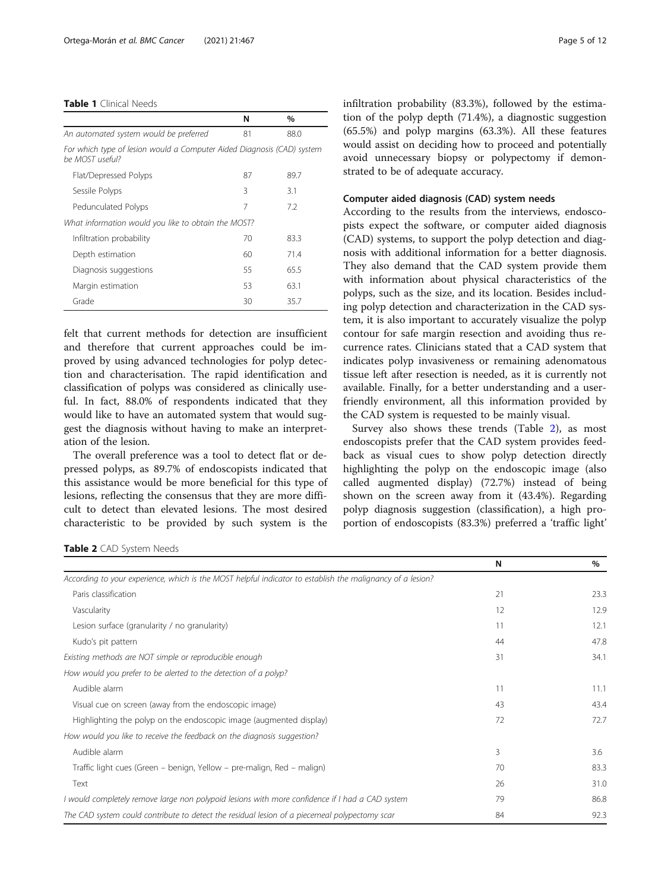## <span id="page-4-0"></span>Table 1 Clinical Needs

|                                                                                           | N  | %    |
|-------------------------------------------------------------------------------------------|----|------|
| An automated system would be preferred                                                    | 81 | 88.0 |
| For which type of lesion would a Computer Aided Diagnosis (CAD) system<br>be MOST useful? |    |      |
| Flat/Depressed Polyps                                                                     | 87 | 89.7 |
| Sessile Polyps                                                                            | 3  | 3.1  |
| Pedunculated Polyps                                                                       | 7  | 7.2  |
| What information would you like to obtain the MOST?                                       |    |      |
| Infiltration probability                                                                  | 70 | 83.3 |
| Depth estimation                                                                          | 60 | 71.4 |
| Diagnosis suggestions                                                                     | 55 | 65.5 |
| Margin estimation                                                                         | 53 | 63.1 |
| Grade                                                                                     | 30 | 35.7 |

felt that current methods for detection are insufficient and therefore that current approaches could be improved by using advanced technologies for polyp detection and characterisation. The rapid identification and classification of polyps was considered as clinically useful. In fact, 88.0% of respondents indicated that they would like to have an automated system that would suggest the diagnosis without having to make an interpretation of the lesion.

The overall preference was a tool to detect flat or depressed polyps, as 89.7% of endoscopists indicated that this assistance would be more beneficial for this type of lesions, reflecting the consensus that they are more difficult to detect than elevated lesions. The most desired characteristic to be provided by such system is the

infiltration probability (83.3%), followed by the estimation of the polyp depth (71.4%), a diagnostic suggestion (65.5%) and polyp margins (63.3%). All these features would assist on deciding how to proceed and potentially avoid unnecessary biopsy or polypectomy if demonstrated to be of adequate accuracy.

## Computer aided diagnosis (CAD) system needs

According to the results from the interviews, endoscopists expect the software, or computer aided diagnosis (CAD) systems, to support the polyp detection and diagnosis with additional information for a better diagnosis. They also demand that the CAD system provide them with information about physical characteristics of the polyps, such as the size, and its location. Besides including polyp detection and characterization in the CAD system, it is also important to accurately visualize the polyp contour for safe margin resection and avoiding thus recurrence rates. Clinicians stated that a CAD system that indicates polyp invasiveness or remaining adenomatous tissue left after resection is needed, as it is currently not available. Finally, for a better understanding and a userfriendly environment, all this information provided by the CAD system is requested to be mainly visual.

Survey also shows these trends (Table 2), as most endoscopists prefer that the CAD system provides feedback as visual cues to show polyp detection directly highlighting the polyp on the endoscopic image (also called augmented display) (72.7%) instead of being shown on the screen away from it (43.4%). Regarding polyp diagnosis suggestion (classification), a high proportion of endoscopists (83.3%) preferred a 'traffic light'

Table 2 CAD System Needs

|                                                                                                            | N  | $\%$ |
|------------------------------------------------------------------------------------------------------------|----|------|
| According to your experience, which is the MOST helpful indicator to establish the malignancy of a lesion? |    |      |
| Paris classification                                                                                       | 21 | 23.3 |
| Vascularity                                                                                                | 12 | 12.9 |
| Lesion surface (granularity / no granularity)                                                              | 11 | 12.1 |
| Kudo's pit pattern                                                                                         | 44 | 47.8 |
| Existing methods are NOT simple or reproducible enough                                                     | 31 | 34.1 |
| How would you prefer to be alerted to the detection of a polyp?                                            |    |      |
| Audible alarm                                                                                              | 11 | 11.1 |
| Visual cue on screen (away from the endoscopic image)                                                      | 43 | 43.4 |
| Highlighting the polyp on the endoscopic image (augmented display)                                         | 72 | 72.7 |
| How would you like to receive the feedback on the diagnosis suggestion?                                    |    |      |
| Audible alarm                                                                                              | 3  | 3.6  |
| Traffic light cues (Green – benign, Yellow – pre-malign, Red – malign)                                     | 70 | 83.3 |
| Text                                                                                                       | 26 | 31.0 |
| I would completely remove large non polypoid lesions with more confidence if I had a CAD system            | 79 | 86.8 |
| The CAD system could contribute to detect the residual lesion of a piecemeal polypectomy scar              | 84 | 92.3 |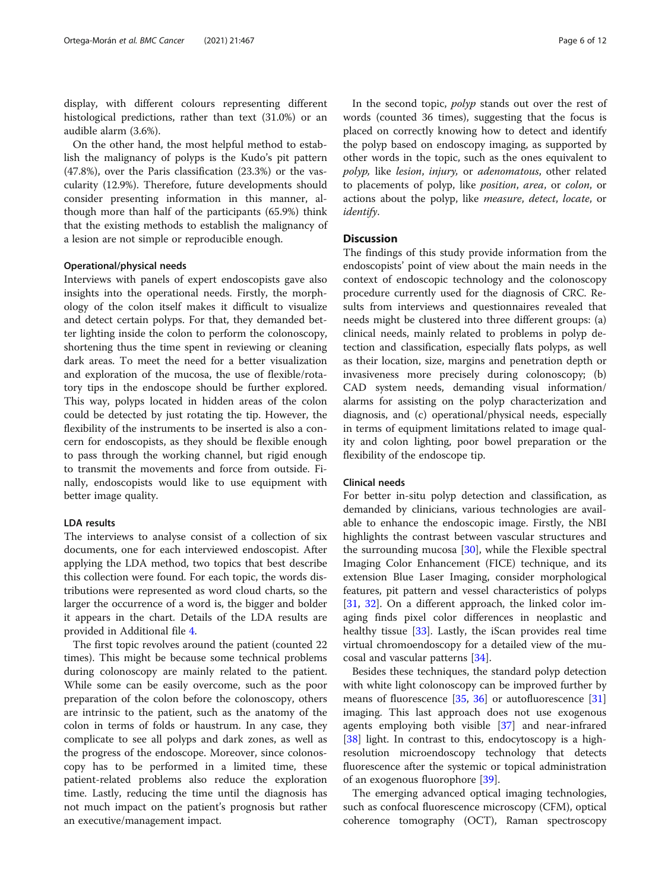display, with different colours representing different histological predictions, rather than text (31.0%) or an audible alarm (3.6%).

On the other hand, the most helpful method to establish the malignancy of polyps is the Kudo's pit pattern (47.8%), over the Paris classification (23.3%) or the vascularity (12.9%). Therefore, future developments should consider presenting information in this manner, although more than half of the participants (65.9%) think that the existing methods to establish the malignancy of a lesion are not simple or reproducible enough.

#### Operational/physical needs

Interviews with panels of expert endoscopists gave also insights into the operational needs. Firstly, the morphology of the colon itself makes it difficult to visualize and detect certain polyps. For that, they demanded better lighting inside the colon to perform the colonoscopy, shortening thus the time spent in reviewing or cleaning dark areas. To meet the need for a better visualization and exploration of the mucosa, the use of flexible/rotatory tips in the endoscope should be further explored. This way, polyps located in hidden areas of the colon could be detected by just rotating the tip. However, the flexibility of the instruments to be inserted is also a concern for endoscopists, as they should be flexible enough to pass through the working channel, but rigid enough to transmit the movements and force from outside. Finally, endoscopists would like to use equipment with better image quality.

## LDA results

The interviews to analyse consist of a collection of six documents, one for each interviewed endoscopist. After applying the LDA method, two topics that best describe this collection were found. For each topic, the words distributions were represented as word cloud charts, so the larger the occurrence of a word is, the bigger and bolder it appears in the chart. Details of the LDA results are provided in Additional file [4.](#page-8-0)

The first topic revolves around the patient (counted 22 times). This might be because some technical problems during colonoscopy are mainly related to the patient. While some can be easily overcome, such as the poor preparation of the colon before the colonoscopy, others are intrinsic to the patient, such as the anatomy of the colon in terms of folds or haustrum. In any case, they complicate to see all polyps and dark zones, as well as the progress of the endoscope. Moreover, since colonoscopy has to be performed in a limited time, these patient-related problems also reduce the exploration time. Lastly, reducing the time until the diagnosis has not much impact on the patient's prognosis but rather an executive/management impact.

In the second topic, polyp stands out over the rest of words (counted 36 times), suggesting that the focus is placed on correctly knowing how to detect and identify the polyp based on endoscopy imaging, as supported by other words in the topic, such as the ones equivalent to polyp, like lesion, injury, or adenomatous, other related to placements of polyp, like position, area, or colon, or actions about the polyp, like measure, detect, locate, or identify.

## **Discussion**

The findings of this study provide information from the endoscopists' point of view about the main needs in the context of endoscopic technology and the colonoscopy procedure currently used for the diagnosis of CRC. Results from interviews and questionnaires revealed that needs might be clustered into three different groups: (a) clinical needs, mainly related to problems in polyp detection and classification, especially flats polyps, as well as their location, size, margins and penetration depth or invasiveness more precisely during colonoscopy; (b) CAD system needs, demanding visual information/ alarms for assisting on the polyp characterization and diagnosis, and (c) operational/physical needs, especially in terms of equipment limitations related to image quality and colon lighting, poor bowel preparation or the flexibility of the endoscope tip.

## Clinical needs

For better in-situ polyp detection and classification, as demanded by clinicians, various technologies are available to enhance the endoscopic image. Firstly, the NBI highlights the contrast between vascular structures and the surrounding mucosa [\[30](#page-10-0)], while the Flexible spectral Imaging Color Enhancement (FICE) technique, and its extension Blue Laser Imaging, consider morphological features, pit pattern and vessel characteristics of polyps [[31,](#page-10-0) [32\]](#page-10-0). On a different approach, the linked color imaging finds pixel color differences in neoplastic and healthy tissue [\[33\]](#page-10-0). Lastly, the iScan provides real time virtual chromoendoscopy for a detailed view of the mucosal and vascular patterns [\[34](#page-10-0)].

Besides these techniques, the standard polyp detection with white light colonoscopy can be improved further by means of fluorescence [\[35](#page-10-0), [36](#page-10-0)] or autofluorescence [[31](#page-10-0)] imaging. This last approach does not use exogenous agents employing both visible [[37\]](#page-10-0) and near-infrared [[38\]](#page-10-0) light. In contrast to this, endocytoscopy is a highresolution microendoscopy technology that detects fluorescence after the systemic or topical administration of an exogenous fluorophore [[39\]](#page-10-0).

The emerging advanced optical imaging technologies, such as confocal fluorescence microscopy (CFM), optical coherence tomography (OCT), Raman spectroscopy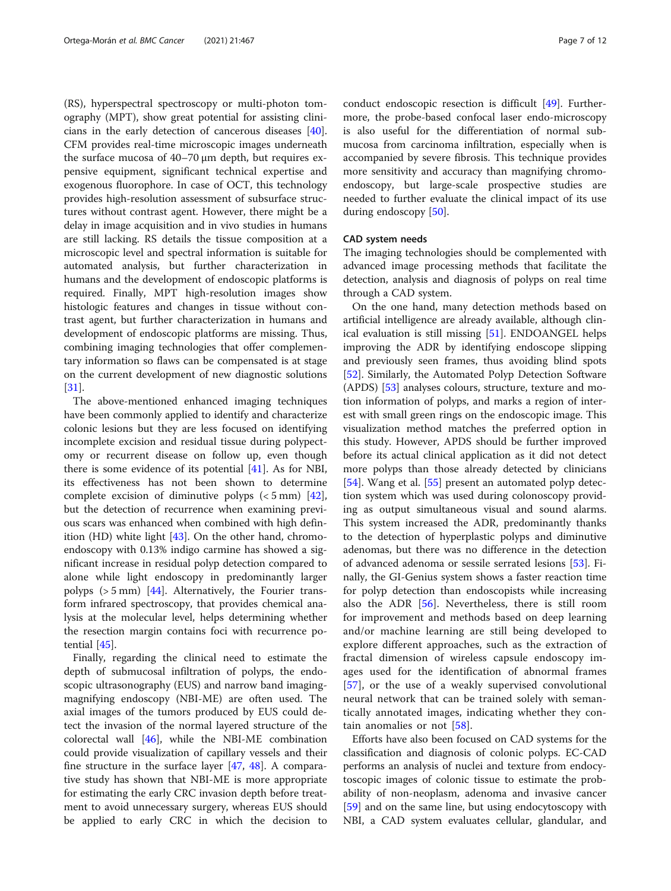(RS), hyperspectral spectroscopy or multi-photon tomography (MPT), show great potential for assisting clinicians in the early detection of cancerous diseases [\[40](#page-10-0)]. CFM provides real-time microscopic images underneath the surface mucosa of 40–70 μm depth, but requires expensive equipment, significant technical expertise and exogenous fluorophore. In case of OCT, this technology provides high-resolution assessment of subsurface structures without contrast agent. However, there might be a delay in image acquisition and in vivo studies in humans are still lacking. RS details the tissue composition at a microscopic level and spectral information is suitable for automated analysis, but further characterization in humans and the development of endoscopic platforms is required. Finally, MPT high-resolution images show histologic features and changes in tissue without contrast agent, but further characterization in humans and development of endoscopic platforms are missing. Thus, combining imaging technologies that offer complementary information so flaws can be compensated is at stage on the current development of new diagnostic solutions [[31\]](#page-10-0).

The above-mentioned enhanced imaging techniques have been commonly applied to identify and characterize colonic lesions but they are less focused on identifying incomplete excision and residual tissue during polypectomy or recurrent disease on follow up, even though there is some evidence of its potential  $[41]$  $[41]$ . As for NBI, its effectiveness has not been shown to determine complete excision of diminutive polyps  $(< 5 \text{ mm})$  [\[42](#page-10-0)], but the detection of recurrence when examining previous scars was enhanced when combined with high definition (HD) white light [\[43](#page-10-0)]. On the other hand, chromoendoscopy with 0.13% indigo carmine has showed a significant increase in residual polyp detection compared to alone while light endoscopy in predominantly larger polyps (> 5 mm) [\[44](#page-10-0)]. Alternatively, the Fourier transform infrared spectroscopy, that provides chemical analysis at the molecular level, helps determining whether the resection margin contains foci with recurrence potential [\[45](#page-10-0)].

Finally, regarding the clinical need to estimate the depth of submucosal infiltration of polyps, the endoscopic ultrasonography (EUS) and narrow band imagingmagnifying endoscopy (NBI-ME) are often used. The axial images of the tumors produced by EUS could detect the invasion of the normal layered structure of the colorectal wall  $[46]$  $[46]$ , while the NBI-ME combination could provide visualization of capillary vessels and their fine structure in the surface layer [\[47](#page-10-0), [48](#page-10-0)]. A comparative study has shown that NBI-ME is more appropriate for estimating the early CRC invasion depth before treatment to avoid unnecessary surgery, whereas EUS should be applied to early CRC in which the decision to conduct endoscopic resection is difficult [[49](#page-10-0)]. Furthermore, the probe-based confocal laser endo-microscopy is also useful for the differentiation of normal submucosa from carcinoma infiltration, especially when is accompanied by severe fibrosis. This technique provides more sensitivity and accuracy than magnifying chromoendoscopy, but large-scale prospective studies are needed to further evaluate the clinical impact of its use during endoscopy [[50\]](#page-10-0).

## CAD system needs

The imaging technologies should be complemented with advanced image processing methods that facilitate the detection, analysis and diagnosis of polyps on real time through a CAD system.

On the one hand, many detection methods based on artificial intelligence are already available, although clinical evaluation is still missing [\[51](#page-10-0)]. ENDOANGEL helps improving the ADR by identifying endoscope slipping and previously seen frames, thus avoiding blind spots [[52\]](#page-10-0). Similarly, the Automated Polyp Detection Software (APDS) [[53\]](#page-10-0) analyses colours, structure, texture and motion information of polyps, and marks a region of interest with small green rings on the endoscopic image. This visualization method matches the preferred option in this study. However, APDS should be further improved before its actual clinical application as it did not detect more polyps than those already detected by clinicians [[54\]](#page-10-0). Wang et al. [[55](#page-10-0)] present an automated polyp detection system which was used during colonoscopy providing as output simultaneous visual and sound alarms. This system increased the ADR, predominantly thanks to the detection of hyperplastic polyps and diminutive adenomas, but there was no difference in the detection of advanced adenoma or sessile serrated lesions [[53\]](#page-10-0). Finally, the GI-Genius system shows a faster reaction time for polyp detection than endoscopists while increasing also the ADR [[56\]](#page-11-0). Nevertheless, there is still room for improvement and methods based on deep learning and/or machine learning are still being developed to explore different approaches, such as the extraction of fractal dimension of wireless capsule endoscopy images used for the identification of abnormal frames [[57\]](#page-11-0), or the use of a weakly supervised convolutional neural network that can be trained solely with semantically annotated images, indicating whether they contain anomalies or not [\[58](#page-11-0)].

Efforts have also been focused on CAD systems for the classification and diagnosis of colonic polyps. EC-CAD performs an analysis of nuclei and texture from endocytoscopic images of colonic tissue to estimate the probability of non-neoplasm, adenoma and invasive cancer [[59\]](#page-11-0) and on the same line, but using endocytoscopy with NBI, a CAD system evaluates cellular, glandular, and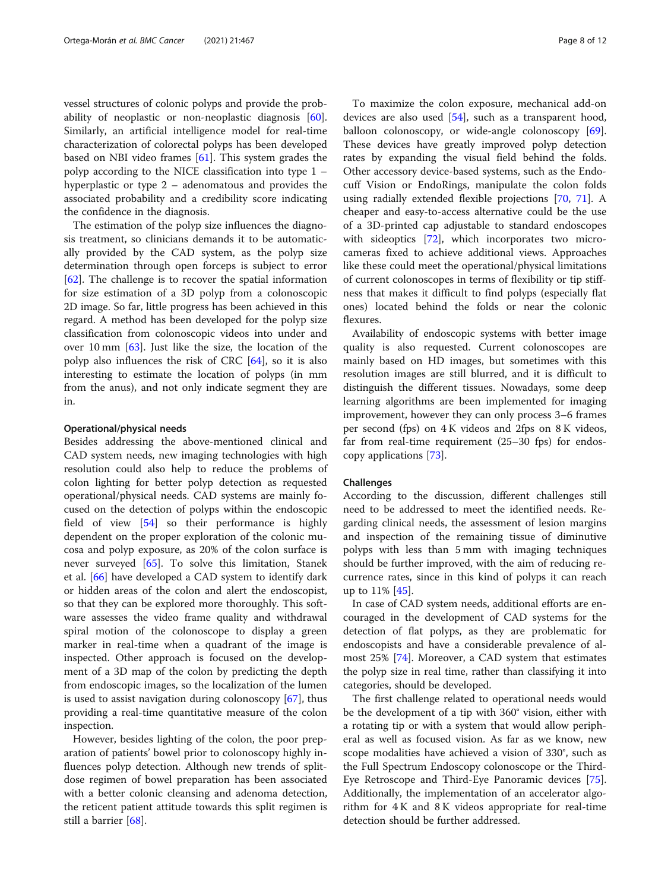vessel structures of colonic polyps and provide the probability of neoplastic or non-neoplastic diagnosis [\[60](#page-11-0)]. Similarly, an artificial intelligence model for real-time characterization of colorectal polyps has been developed based on NBI video frames [\[61](#page-11-0)]. This system grades the polyp according to the NICE classification into type 1 – hyperplastic or type 2 – adenomatous and provides the associated probability and a credibility score indicating the confidence in the diagnosis.

The estimation of the polyp size influences the diagnosis treatment, so clinicians demands it to be automatically provided by the CAD system, as the polyp size determination through open forceps is subject to error [[62\]](#page-11-0). The challenge is to recover the spatial information for size estimation of a 3D polyp from a colonoscopic 2D image. So far, little progress has been achieved in this regard. A method has been developed for the polyp size classification from colonoscopic videos into under and over 10 mm [\[63](#page-11-0)]. Just like the size, the location of the polyp also influences the risk of CRC [[64](#page-11-0)], so it is also interesting to estimate the location of polyps (in mm from the anus), and not only indicate segment they are in.

## Operational/physical needs

Besides addressing the above-mentioned clinical and CAD system needs, new imaging technologies with high resolution could also help to reduce the problems of colon lighting for better polyp detection as requested operational/physical needs. CAD systems are mainly focused on the detection of polyps within the endoscopic field of view [\[54](#page-10-0)] so their performance is highly dependent on the proper exploration of the colonic mucosa and polyp exposure, as 20% of the colon surface is never surveyed [[65\]](#page-11-0). To solve this limitation, Stanek et al. [[66\]](#page-11-0) have developed a CAD system to identify dark or hidden areas of the colon and alert the endoscopist, so that they can be explored more thoroughly. This software assesses the video frame quality and withdrawal spiral motion of the colonoscope to display a green marker in real-time when a quadrant of the image is inspected. Other approach is focused on the development of a 3D map of the colon by predicting the depth from endoscopic images, so the localization of the lumen is used to assist navigation during colonoscopy [[67\]](#page-11-0), thus providing a real-time quantitative measure of the colon inspection.

However, besides lighting of the colon, the poor preparation of patients' bowel prior to colonoscopy highly influences polyp detection. Although new trends of splitdose regimen of bowel preparation has been associated with a better colonic cleansing and adenoma detection, the reticent patient attitude towards this split regimen is still a barrier [\[68](#page-11-0)].

To maximize the colon exposure, mechanical add-on devices are also used [\[54\]](#page-10-0), such as a transparent hood, balloon colonoscopy, or wide-angle colonoscopy [\[69](#page-11-0)]. These devices have greatly improved polyp detection rates by expanding the visual field behind the folds. Other accessory device-based systems, such as the Endocuff Vision or EndoRings, manipulate the colon folds using radially extended flexible projections [[70,](#page-11-0) [71\]](#page-11-0). A cheaper and easy-to-access alternative could be the use of a 3D-printed cap adjustable to standard endoscopes with sideoptics [\[72\]](#page-11-0), which incorporates two microcameras fixed to achieve additional views. Approaches like these could meet the operational/physical limitations of current colonoscopes in terms of flexibility or tip stiffness that makes it difficult to find polyps (especially flat ones) located behind the folds or near the colonic flexures.

Availability of endoscopic systems with better image quality is also requested. Current colonoscopes are mainly based on HD images, but sometimes with this resolution images are still blurred, and it is difficult to distinguish the different tissues. Nowadays, some deep learning algorithms are been implemented for imaging improvement, however they can only process 3–6 frames per second (fps) on 4 K videos and 2fps on 8 K videos, far from real-time requirement (25–30 fps) for endoscopy applications [[73](#page-11-0)].

## Challenges

According to the discussion, different challenges still need to be addressed to meet the identified needs. Regarding clinical needs, the assessment of lesion margins and inspection of the remaining tissue of diminutive polyps with less than 5 mm with imaging techniques should be further improved, with the aim of reducing recurrence rates, since in this kind of polyps it can reach up to 11% [\[45](#page-10-0)].

In case of CAD system needs, additional efforts are encouraged in the development of CAD systems for the detection of flat polyps, as they are problematic for endoscopists and have a considerable prevalence of almost 25% [\[74](#page-11-0)]. Moreover, a CAD system that estimates the polyp size in real time, rather than classifying it into categories, should be developed.

The first challenge related to operational needs would be the development of a tip with 360° vision, either with a rotating tip or with a system that would allow peripheral as well as focused vision. As far as we know, new scope modalities have achieved a vision of 330°, such as the Full Spectrum Endoscopy colonoscope or the Third-Eye Retroscope and Third-Eye Panoramic devices [\[75](#page-11-0)]. Additionally, the implementation of an accelerator algorithm for 4 K and 8 K videos appropriate for real-time detection should be further addressed.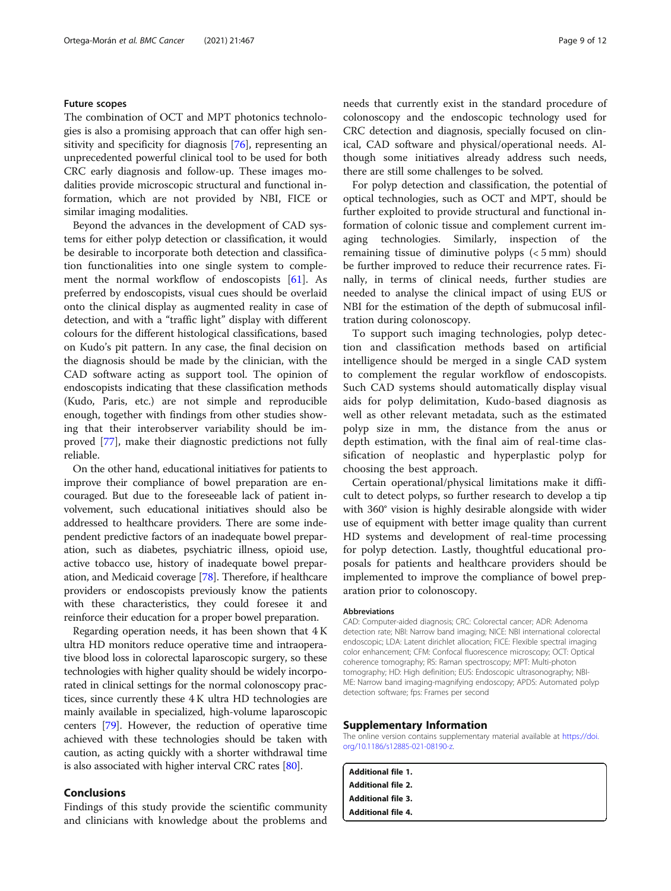## <span id="page-8-0"></span>Future scopes

The combination of OCT and MPT photonics technologies is also a promising approach that can offer high sensitivity and specificity for diagnosis [[76\]](#page-11-0), representing an unprecedented powerful clinical tool to be used for both CRC early diagnosis and follow-up. These images modalities provide microscopic structural and functional information, which are not provided by NBI, FICE or similar imaging modalities.

Beyond the advances in the development of CAD systems for either polyp detection or classification, it would be desirable to incorporate both detection and classification functionalities into one single system to complement the normal workflow of endoscopists [\[61](#page-11-0)]. As preferred by endoscopists, visual cues should be overlaid onto the clinical display as augmented reality in case of detection, and with a "traffic light" display with different colours for the different histological classifications, based on Kudo's pit pattern. In any case, the final decision on the diagnosis should be made by the clinician, with the CAD software acting as support tool. The opinion of endoscopists indicating that these classification methods (Kudo, Paris, etc.) are not simple and reproducible enough, together with findings from other studies showing that their interobserver variability should be improved [[77\]](#page-11-0), make their diagnostic predictions not fully reliable.

On the other hand, educational initiatives for patients to improve their compliance of bowel preparation are encouraged. But due to the foreseeable lack of patient involvement, such educational initiatives should also be addressed to healthcare providers. There are some independent predictive factors of an inadequate bowel preparation, such as diabetes, psychiatric illness, opioid use, active tobacco use, history of inadequate bowel preparation, and Medicaid coverage [[78](#page-11-0)]. Therefore, if healthcare providers or endoscopists previously know the patients with these characteristics, they could foresee it and reinforce their education for a proper bowel preparation.

Regarding operation needs, it has been shown that 4 K ultra HD monitors reduce operative time and intraoperative blood loss in colorectal laparoscopic surgery, so these technologies with higher quality should be widely incorporated in clinical settings for the normal colonoscopy practices, since currently these 4 K ultra HD technologies are mainly available in specialized, high-volume laparoscopic centers [[79](#page-11-0)]. However, the reduction of operative time achieved with these technologies should be taken with caution, as acting quickly with a shorter withdrawal time is also associated with higher interval CRC rates [[80\]](#page-11-0).

## Conclusions

Findings of this study provide the scientific community and clinicians with knowledge about the problems and needs that currently exist in the standard procedure of colonoscopy and the endoscopic technology used for CRC detection and diagnosis, specially focused on clinical, CAD software and physical/operational needs. Although some initiatives already address such needs, there are still some challenges to be solved.

For polyp detection and classification, the potential of optical technologies, such as OCT and MPT, should be further exploited to provide structural and functional information of colonic tissue and complement current imaging technologies. Similarly, inspection of the remaining tissue of diminutive polyps (< 5 mm) should be further improved to reduce their recurrence rates. Finally, in terms of clinical needs, further studies are needed to analyse the clinical impact of using EUS or NBI for the estimation of the depth of submucosal infiltration during colonoscopy.

To support such imaging technologies, polyp detection and classification methods based on artificial intelligence should be merged in a single CAD system to complement the regular workflow of endoscopists. Such CAD systems should automatically display visual aids for polyp delimitation, Kudo-based diagnosis as well as other relevant metadata, such as the estimated polyp size in mm, the distance from the anus or depth estimation, with the final aim of real-time classification of neoplastic and hyperplastic polyp for choosing the best approach.

Certain operational/physical limitations make it difficult to detect polyps, so further research to develop a tip with 360° vision is highly desirable alongside with wider use of equipment with better image quality than current HD systems and development of real-time processing for polyp detection. Lastly, thoughtful educational proposals for patients and healthcare providers should be implemented to improve the compliance of bowel preparation prior to colonoscopy.

### Abbreviations

CAD: Computer-aided diagnosis; CRC: Colorectal cancer; ADR: Adenoma detection rate; NBI: Narrow band imaging; NICE: NBI international colorectal endoscopic; LDA: Latent dirichlet allocation; FICE: Flexible spectral imaging color enhancement; CFM: Confocal fluorescence microscopy; OCT: Optical coherence tomography; RS: Raman spectroscopy; MPT: Multi-photon tomography; HD: High definition; EUS: Endoscopic ultrasonography; NBI-ME: Narrow band imaging-magnifying endoscopy; APDS: Automated polyp detection software; fps: Frames per second

#### Supplementary Information

The online version contains supplementary material available at [https://doi.](https://doi.org/10.1186/s12885-021-08190-z) [org/10.1186/s12885-021-08190-z](https://doi.org/10.1186/s12885-021-08190-z).

| <b>Additional file 1.</b> |  |  |
|---------------------------|--|--|
| <b>Additional file 2.</b> |  |  |
| <b>Additional file 3.</b> |  |  |
| <b>Additional file 4.</b> |  |  |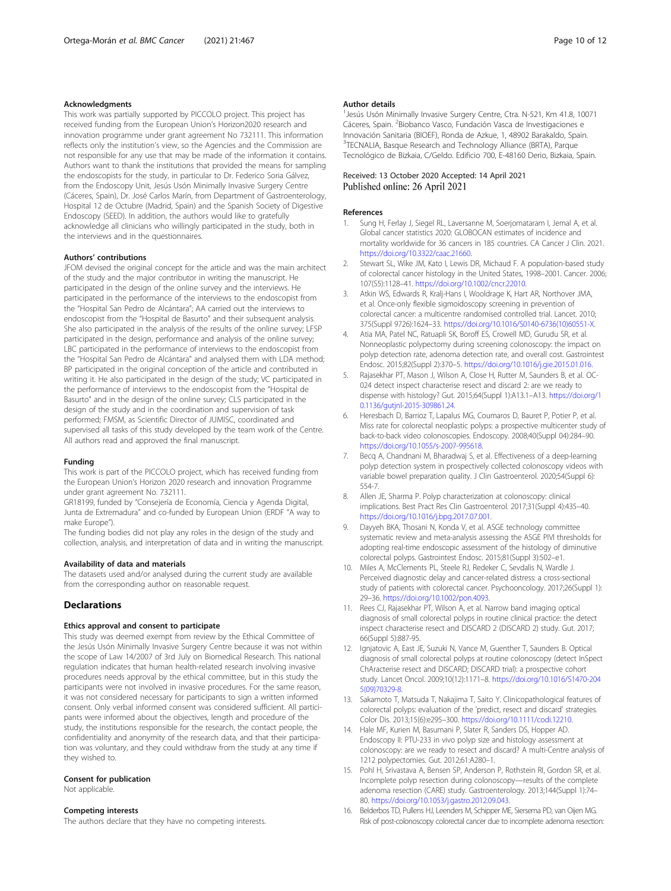## <span id="page-9-0"></span>Acknowledgments

This work was partially supported by PICCOLO project. This project has received funding from the European Union's Horizon2020 research and innovation programme under grant agreement No 732111. This information reflects only the institution's view, so the Agencies and the Commission are not responsible for any use that may be made of the information it contains. Authors want to thank the institutions that provided the means for sampling the endoscopists for the study, in particular to Dr. Federico Soria Gálvez, from the Endoscopy Unit, Jesús Usón Minimally Invasive Surgery Centre (Cáceres, Spain), Dr. José Carlos Marín, from Department of Gastroenterology, Hospital 12 de Octubre (Madrid, Spain) and the Spanish Society of Digestive Endoscopy (SEED). In addition, the authors would like to gratefully acknowledge all clinicians who willingly participated in the study, both in the interviews and in the questionnaires.

## Authors' contributions

JFOM devised the original concept for the article and was the main architect of the study and the major contributor in writing the manuscript. He participated in the design of the online survey and the interviews. He participated in the performance of the interviews to the endoscopist from the "Hospital San Pedro de Alcántara"; AA carried out the interviews to endoscopist from the "Hospital de Basurto" and their subsequent analysis. She also participated in the analysis of the results of the online survey; LFSP participated in the design, performance and analysis of the online survey; LBC participated in the performance of interviews to the endoscopist from the "Hospital San Pedro de Alcántara" and analysed them with LDA method; BP participated in the original conception of the article and contributed in writing it. He also participated in the design of the study; VC participated in the performance of interviews to the endoscopist from the "Hospital de Basurto" and in the design of the online survey; CLS participated in the design of the study and in the coordination and supervision of task performed; FMSM, as Scientific Director of JUMISC, coordinated and supervised all tasks of this study developed by the team work of the Centre. All authors read and approved the final manuscript.

## Funding

This work is part of the PICCOLO project, which has received funding from the European Union's Horizon 2020 research and innovation Programme under grant agreement No. 732111.

GR18199, funded by "Consejería de Economía, Ciencia y Agenda Digital, Junta de Extremadura" and co-funded by European Union (ERDF "A way to make Europe").

The funding bodies did not play any roles in the design of the study and collection, analysis, and interpretation of data and in writing the manuscript.

## Availability of data and materials

The datasets used and/or analysed during the current study are available from the corresponding author on reasonable request.

#### Declarations

## Ethics approval and consent to participate

This study was deemed exempt from review by the Ethical Committee of the Jesús Usón Minimally Invasive Surgery Centre because it was not within the scope of Law 14/2007 of 3rd July on Biomedical Research. This national regulation indicates that human health-related research involving invasive procedures needs approval by the ethical committee, but in this study the participants were not involved in invasive procedures. For the same reason, it was not considered necessary for participants to sign a written informed consent. Only verbal informed consent was considered sufficient. All participants were informed about the objectives, length and procedure of the study, the institutions responsible for the research, the contact people, the confidentiality and anonymity of the research data, and that their participation was voluntary, and they could withdraw from the study at any time if they wished to.

#### Consent for publication

Not applicable.

## Competing interests

The authors declare that they have no competing interests.

#### Author details

1 Jesús Usón Minimally Invasive Surgery Centre, Ctra. N-521, Km 41.8, 10071 Cáceres, Spain. <sup>2</sup>Biobanco Vasco, Fundación Vasca de Investigaciones e Innovación Sanitaria (BIOEF), Ronda de Azkue, 1, 48902 Barakaldo, Spain. <sup>3</sup>TECNALIA, Basque Research and Technology Alliance (BRTA), Parque Tecnológico de Bizkaia, C/Geldo. Edificio 700, E-48160 Derio, Bizkaia, Spain.

## Received: 13 October 2020 Accepted: 14 April 2021 Published online: 26 April 2021

#### References

- Sung H, Ferlay J, Siegel RL, Laversanne M, Soerjomataram I, Jemal A, et al. Global cancer statistics 2020: GLOBOCAN estimates of incidence and mortality worldwide for 36 cancers in 185 countries. CA Cancer J Clin. 2021. [https://doi.org/10.3322/caac.21660.](https://doi.org/10.3322/caac.21660)
- 2. Stewart SL, Wike JM, Kato I, Lewis DR, Michaud F. A population-based study of colorectal cancer histology in the United States, 1998–2001. Cancer. 2006; 107(S5):1128–41. <https://doi.org/10.1002/cncr.22010>.
- 3. Atkin WS, Edwards R, Kralj-Hans I, Wooldrage K, Hart AR, Northover JMA, et al. Once-only flexible sigmoidoscopy screening in prevention of colorectal cancer: a multicentre randomised controlled trial. Lancet. 2010; 375(Suppl 9726):1624–33. [https://doi.org/10.1016/S0140-6736\(10\)60551-X.](https://doi.org/10.1016/S0140-6736(10)60551-X)
- 4. Atia MA, Patel NC, Ratuapli SK, Boroff ES, Crowell MD, Gurudu SR, et al. Nonneoplastic polypectomy during screening colonoscopy: the impact on polyp detection rate, adenoma detection rate, and overall cost. Gastrointest Endosc. 2015;82(Suppl 2):370–5. <https://doi.org/10.1016/j.gie.2015.01.016>.
- 5. Rajasekhar PT, Mason J, Wilson A, Close H, Rutter M, Saunders B, et al. OC-024 detect inspect characterise resect and discard 2: are we ready to dispense with histology? Gut. 2015;64(Suppl 1):A13.1–A13. [https://doi.org/1](https://doi.org/10.1136/gutjnl-2015-309861.24) [0.1136/gutjnl-2015-309861.24](https://doi.org/10.1136/gutjnl-2015-309861.24).
- 6. Heresbach D, Barrioz T, Lapalus MG, Coumaros D, Bauret P, Potier P, et al. Miss rate for colorectal neoplastic polyps: a prospective multicenter study of back-to-back video colonoscopies. Endoscopy. 2008;40(Suppl 04):284–90. [https://doi.org/10.1055/s-2007-995618.](https://doi.org/10.1055/s-2007-995618)
- 7. Becq A, Chandnani M, Bharadwaj S, et al. Effectiveness of a deep-learning polyp detection system in prospectively collected colonoscopy videos with variable bowel preparation quality. J Clin Gastroenterol. 2020;54(Suppl 6): 554-7.
- 8. Allen JE, Sharma P. Polyp characterization at colonoscopy: clinical implications. Best Pract Res Clin Gastroenterol. 2017;31(Suppl 4):435–40. <https://doi.org/10.1016/j.bpg.2017.07.001>.
- Dayyeh BKA, Thosani N, Konda V, et al. ASGE technology committee systematic review and meta-analysis assessing the ASGE PIVI thresholds for adopting real-time endoscopic assessment of the histology of diminutive colorectal polyps. Gastrointest Endosc. 2015;81(Suppl 3):502–e1.
- 10. Miles A, McClements PL, Steele RJ, Redeker C, Sevdalis N, Wardle J. Perceived diagnostic delay and cancer-related distress: a cross-sectional study of patients with colorectal cancer. Psychooncology. 2017;26(Suppl 1): 29–36. [https://doi.org/10.1002/pon.4093.](https://doi.org/10.1002/pon.4093)
- 11. Rees CJ, Rajasekhar PT, Wilson A, et al. Narrow band imaging optical diagnosis of small colorectal polyps in routine clinical practice: the detect inspect characterise resect and DISCARD 2 (DISCARD 2) study. Gut. 2017; 66(Suppl 5):887-95.
- 12. Ignjatovic A, East JE, Suzuki N, Vance M, Guenther T, Saunders B. Optical diagnosis of small colorectal polyps at routine colonoscopy (detect InSpect ChAracterise resect and DISCARD; DISCARD trial): a prospective cohort study. Lancet Oncol. 2009;10(12):1171–8. [https://doi.org/10.1016/S1470-204](https://doi.org/10.1016/S1470-2045(09)70329-8) [5\(09\)70329-8](https://doi.org/10.1016/S1470-2045(09)70329-8).
- 13. Sakamoto T, Matsuda T, Nakajima T, Saito Y. Clinicopathological features of colorectal polyps: evaluation of the 'predict, resect and discard' strategies. Color Dis. 2013;15(6):e295–300. <https://doi.org/10.1111/codi.12210>.
- 14. Hale MF, Kurien M, Basumani P, Slater R, Sanders DS, Hopper AD. Endoscopy II: PTU-233 in vivo polyp size and histology assessment at colonoscopy: are we ready to resect and discard? A multi-Centre analysis of 1212 polypectomies. Gut. 2012;61:A280–1.
- 15. Pohl H, Srivastava A, Bensen SP, Anderson P, Rothstein RI, Gordon SR, et al. Incomplete polyp resection during colonoscopy—results of the complete adenoma resection (CARE) study. Gastroenterology. 2013;144(Suppl 1):74– 80. [https://doi.org/10.1053/j.gastro.2012.09.043.](https://doi.org/10.1053/j.gastro.2012.09.043)
- 16. Belderbos TD, Pullens HJ, Leenders M, Schipper ME, Siersema PD, van Oijen MG. Risk of post-colonoscopy colorectal cancer due to incomplete adenoma resection: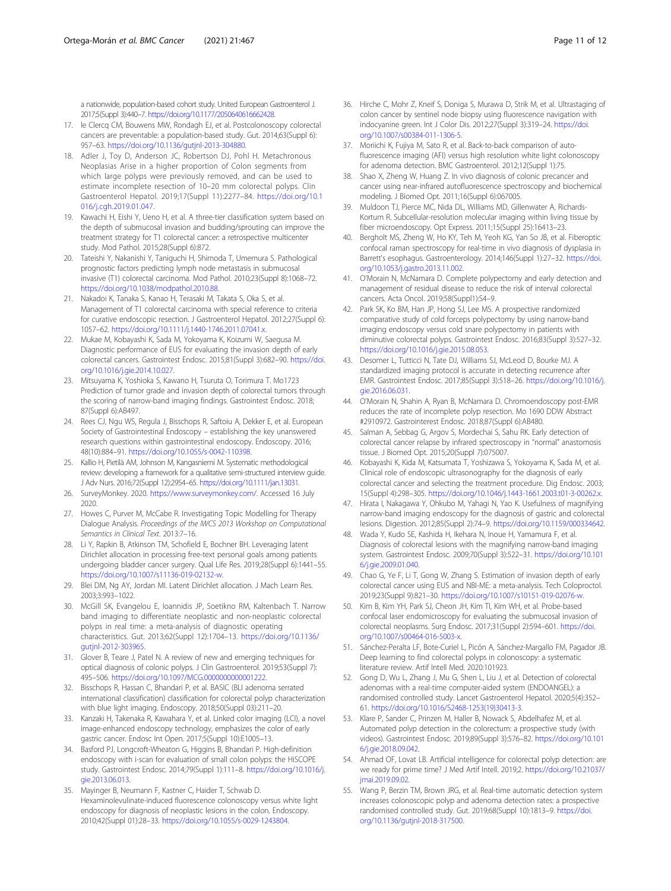<span id="page-10-0"></span>a nationwide, population-based cohort study. United European Gastroenterol J. 2017;5(Suppl 3):440–7. <https://doi.org/10.1177/2050640616662428>.

- 17. le Clerca CM, Bouwens MW, Rondagh EJ, et al. Postcolonoscopy colorectal cancers are preventable: a population-based study. Gut. 2014;63(Suppl 6): 957–63. [https://doi.org/10.1136/gutjnl-2013-304880.](https://doi.org/10.1136/gutjnl-2013-304880)
- 18. Adler J, Toy D, Anderson JC, Robertson DJ, Pohl H. Metachronous Neoplasias Arise in a higher proportion of Colon segments from which large polyps were previously removed, and can be used to estimate incomplete resection of 10–20 mm colorectal polyps. Clin Gastroenterol Hepatol. 2019;17(Suppl 11):2277–84. [https://doi.org/10.1](https://doi.org/10.1016/j.cgh.2019.01.047) [016/j.cgh.2019.01.047](https://doi.org/10.1016/j.cgh.2019.01.047).
- 19. Kawachi H, Eishi Y, Ueno H, et al. A three-tier classification system based on the depth of submucosal invasion and budding/sprouting can improve the treatment strategy for T1 colorectal cancer: a retrospective multicenter study. Mod Pathol. 2015;28(Suppl 6):872.
- 20. Tateishi Y, Nakanishi Y, Taniguchi H, Shimoda T, Umemura S. Pathological prognostic factors predicting lymph node metastasis in submucosal invasive (T1) colorectal carcinoma. Mod Pathol. 2010;23(Suppl 8):1068–72. <https://doi.org/10.1038/modpathol.2010.88>.
- 21. Nakadoi K, Tanaka S, Kanao H, Terasaki M, Takata S, Oka S, et al. Management of T1 colorectal carcinoma with special reference to criteria for curative endoscopic resection. J Gastroenterol Hepatol. 2012;27(Suppl 6): 1057–62. [https://doi.org/10.1111/j.1440-1746.2011.07041.x.](https://doi.org/10.1111/j.1440-1746.2011.07041.x)
- 22. Mukae M, Kobayashi K, Sada M, Yokoyama K, Koizumi W, Saegusa M. Diagnostic performance of EUS for evaluating the invasion depth of early colorectal cancers. Gastrointest Endosc. 2015;81(Suppl 3):682–90. [https://doi.](https://doi.org/10.1016/j.gie.2014.10.027) [org/10.1016/j.gie.2014.10.027.](https://doi.org/10.1016/j.gie.2014.10.027)
- 23. Mitsuyama K, Yoshioka S, Kawano H, Tsuruta O, Torimura T. Mo1723 Prediction of tumor grade and invasion depth of colorectal tumors through the scoring of narrow-band imaging findings. Gastrointest Endosc. 2018; 87(Suppl 6):AB497.
- 24. Rees CJ, Ngu WS, Regula J, Bisschops R, Saftoiu A, Dekker E, et al. European Society of Gastrointestinal Endoscopy – establishing the key unanswered research questions within gastrointestinal endoscopy. Endoscopy. 2016; 48(10):884–91. <https://doi.org/10.1055/s-0042-110398>.
- 25. Kallio H, Pietilä AM, Johnson M, Kangasniemi M. Systematic methodological review: developing a framework for a qualitative semi-structured interview guide. J Adv Nurs. 2016;72(Suppl 12):2954–65. <https://doi.org/10.1111/jan.13031>.
- 26. SurveyMonkey. 2020. [https://www.surveymonkey.com/.](https://www.surveymonkey.com/) Accessed 16 July 2020.
- 27. Howes C, Purver M, McCabe R. Investigating Topic Modelling for Therapy Dialogue Analysis. Proceedings of the IWCS 2013 Workshop on Computational Semantics in Clinical Text. 2013:7–16.
- 28. Li Y, Rapkin B, Atkinson TM, Schofield E, Bochner BH. Leveraging latent Dirichlet allocation in processing free-text personal goals among patients undergoing bladder cancer surgery. Qual Life Res. 2019;28(Suppl 6):1441–55. <https://doi.org/10.1007/s11136-019-02132-w>.
- 29. Blei DM, Ng AY, Jordan MI. Latent Dirichlet allocation. J Mach Learn Res. 2003;3:993–1022.
- 30. McGill SK, Evangelou E, Ioannidis JP, Soetikno RM, Kaltenbach T. Narrow band imaging to differentiate neoplastic and non-neoplastic colorectal polyps in real time: a meta-analysis of diagnostic operating characteristics. Gut. 2013;62(Suppl 12):1704–13. [https://doi.org/10.1136/](https://doi.org/10.1136/gutjnl-2012-303965) [gutjnl-2012-303965](https://doi.org/10.1136/gutjnl-2012-303965).
- 31. Glover B, Teare J, Patel N. A review of new and emerging techniques for optical diagnosis of colonic polyps. J Clin Gastroenterol. 2019;53(Suppl 7): 495–506. [https://doi.org/10.1097/MCG.0000000000001222.](https://doi.org/10.1097/MCG.0000000000001222)
- 32. Bisschops R, Hassan C, Bhandari P, et al. BASIC (BLI adenoma serrated international classification) classification for colorectal polyp characterization with blue light imaging. Endoscopy. 2018;50(Suppl 03):211–20.
- 33. Kanzaki H, Takenaka R, Kawahara Y, et al. Linked color imaging (LCI), a novel image-enhanced endoscopy technology, emphasizes the color of early gastric cancer. Endosc Int Open. 2017;5(Suppl 10):E1005–13.
- 34. Basford PJ, Longcroft-Wheaton G, Higgins B, Bhandari P. High-definition endoscopy with i-scan for evaluation of small colon polyps: the HiSCOPE study. Gastrointest Endosc. 2014;79(Suppl 1):111–8. [https://doi.org/10.1016/j.](https://doi.org/10.1016/j.gie.2013.06.013) [gie.2013.06.013.](https://doi.org/10.1016/j.gie.2013.06.013)
- 35. Mayinger B, Neumann F, Kastner C, Haider T, Schwab D. Hexaminolevulinate-induced fluorescence colonoscopy versus white light endoscopy for diagnosis of neoplastic lesions in the colon. Endoscopy. 2010;42(Suppl 01):28–33. <https://doi.org/10.1055/s-0029-1243804>.
- 36. Hirche C, Mohr Z, Kneif S, Doniga S, Murawa D, Strik M, et al. Ultrastaging of colon cancer by sentinel node biopsy using fluorescence navigation with indocyanine green. Int J Color Dis. 2012;27(Suppl 3):319–24. [https://doi.](https://doi.org/10.1007/s00384-011-1306-5) [org/10.1007/s00384-011-1306-5](https://doi.org/10.1007/s00384-011-1306-5).
- 37. Moriichi K, Fujiya M, Sato R, et al. Back-to-back comparison of autofluorescence imaging (AFI) versus high resolution white light colonoscopy for adenoma detection. BMC Gastroenterol. 2012;12(Suppl 1):75.
- 38. Shao X, Zheng W, Huang Z. In vivo diagnosis of colonic precancer and cancer using near-infrared autofluorescence spectroscopy and biochemical modeling. J Biomed Opt. 2011;16(Suppl 6):067005.
- 39. Muldoon TJ, Pierce MC, Nida DL, Williams MD, Gillenwater A, Richards-Kortum R. Subcellular-resolution molecular imaging within living tissue by fiber microendoscopy. Opt Express. 2011;15(Suppl 25):16413–23.
- 40. Bergholt MS, Zheng W, Ho KY, Teh M, Yeoh KG, Yan So JB, et al. Fiberoptic confocal raman spectroscopy for real-time in vivo diagnosis of dysplasia in Barrett's esophagus. Gastroenterology. 2014;146(Suppl 1):27–32. [https://doi.](https://doi.org/10.1053/j.gastro.2013.11.002) [org/10.1053/j.gastro.2013.11.002.](https://doi.org/10.1053/j.gastro.2013.11.002)
- 41. O'Morain N, McNamara D. Complete polypectomy and early detection and management of residual disease to reduce the risk of interval colorectal cancers. Acta Oncol. 2019;58(Suppl1):S4–9.
- 42. Park SK, Ko BM, Han JP, Hong SJ, Lee MS. A prospective randomized comparative study of cold forceps polypectomy by using narrow-band imaging endoscopy versus cold snare polypectomy in patients with diminutive colorectal polyps. Gastrointest Endosc. 2016;83(Suppl 3):527–32. [https://doi.org/10.1016/j.gie.2015.08.053.](https://doi.org/10.1016/j.gie.2015.08.053)
- 43. Desomer L, Tutticci N, Tate DJ, Williams SJ, McLeod D, Bourke MJ. A standardized imaging protocol is accurate in detecting recurrence after EMR. Gastrointest Endosc. 2017;85(Suppl 3):518–26. [https://doi.org/10.1016/j.](https://doi.org/10.1016/j.gie.2016.06.031) [gie.2016.06.031.](https://doi.org/10.1016/j.gie.2016.06.031)
- 44. O'Morain N, Shahin A, Ryan B, McNamara D. Chromoendoscopy post-EMR reduces the rate of incomplete polyp resection. Mo 1690 DDW Abstract #2910972. Gastrointerest Endosc. 2018;87(Suppl 6):AB480.
- 45. Salman A, Sebbag G, Argov S, Mordechai S, Sahu RK. Early detection of colorectal cancer relapse by infrared spectroscopy in "normal" anastomosis tissue. J Biomed Opt. 2015;20(Suppl 7):075007.
- 46. Kobayashi K, Kida M, Katsumata T, Yoshizawa S, Yokoyama K, Sada M, et al. Clinical role of endoscopic ultrasonography for the diagnosis of early colorectal cancer and selecting the treatment procedure. Dig Endosc. 2003; 15(Suppl 4):298–305. [https://doi.org/10.1046/j.1443-1661.2003.t01-3-00262.x.](https://doi.org/10.1046/j.1443-1661.2003.t01-3-00262.x)
- 47. Hirata I, Nakagawa Y, Ohkubo M, Yahagi N, Yao K. Usefulness of magnifying narrow-band imaging endoscopy for the diagnosis of gastric and colorectal lesions. Digestion. 2012;85(Suppl 2):74–9. [https://doi.org/10.1159/000334642.](https://doi.org/10.1159/000334642)
- 48. Wada Y, Kudo SE, Kashida H, Ikehara N, Inoue H, Yamamura F, et al. Diagnosis of colorectal lesions with the magnifying narrow-band imaging system. Gastrointest Endosc. 2009;70(Suppl 3):522–31. [https://doi.org/10.101](https://doi.org/10.1016/j.gie.2009.01.040) [6/j.gie.2009.01.040](https://doi.org/10.1016/j.gie.2009.01.040).
- 49. Chao G, Ye F, Li T, Gong W, Zhang S. Estimation of invasion depth of early colorectal cancer using EUS and NBI-ME: a meta-analysis. Tech Coloproctol. 2019;23(Suppl 9):821–30. <https://doi.org/10.1007/s10151-019-02076-w>.
- 50. Kim B, Kim YH, Park SJ, Cheon JH, Kim TI, Kim WH, et al. Probe-based confocal laser endomicroscopy for evaluating the submucosal invasion of colorectal neoplasms. Surg Endosc. 2017;31(Suppl 2):594–601. [https://doi.](https://doi.org/10.1007/s00464-016-5003-x) [org/10.1007/s00464-016-5003-x.](https://doi.org/10.1007/s00464-016-5003-x)
- 51. Sánchez-Peralta LF, Bote-Curiel L, Picón A, Sánchez-Margallo FM, Pagador JB. Deep learning to find colorectal polyps in colonoscopy: a systematic literature review. Artif Intell Med. 2020:101923.
- 52. Gong D, Wu L, Zhang J, Mu G, Shen L, Liu J, et al. Detection of colorectal adenomas with a real-time computer-aided system (ENDOANGEL): a randomised controlled study. Lancet Gastroenterol Hepatol. 2020;5(4):352– 61. [https://doi.org/10.1016/S2468-1253\(19\)30413-3.](https://doi.org/10.1016/S2468-1253(19)30413-3)
- 53. Klare P, Sander C, Prinzen M, Haller B, Nowack S, Abdelhafez M, et al. Automated polyp detection in the colorectum: a prospective study (with videos). Gastrointest Endosc. 2019;89(Suppl 3):576–82. [https://doi.org/10.101](https://doi.org/10.1016/j.gie.2018.09.042) [6/j.gie.2018.09.042](https://doi.org/10.1016/j.gie.2018.09.042).
- 54. Ahmad OF, Lovat LB. Artificial intelligence for colorectal polyp detection: are we ready for prime time? J Med Artif Intell. 2019;2. [https://doi.org/10.21037/](https://doi.org/10.21037/jmai.2019.09.02) imai.2019.09.02.
- 55. Wang P, Berzin TM, Brown JRG, et al. Real-time automatic detection system increases colonoscopic polyp and adenoma detection rates: a prospective randomised controlled study. Gut. 2019;68(Suppl 10):1813–9. [https://doi.](https://doi.org/10.1136/gutjnl-2018-317500) [org/10.1136/gutjnl-2018-317500.](https://doi.org/10.1136/gutjnl-2018-317500)